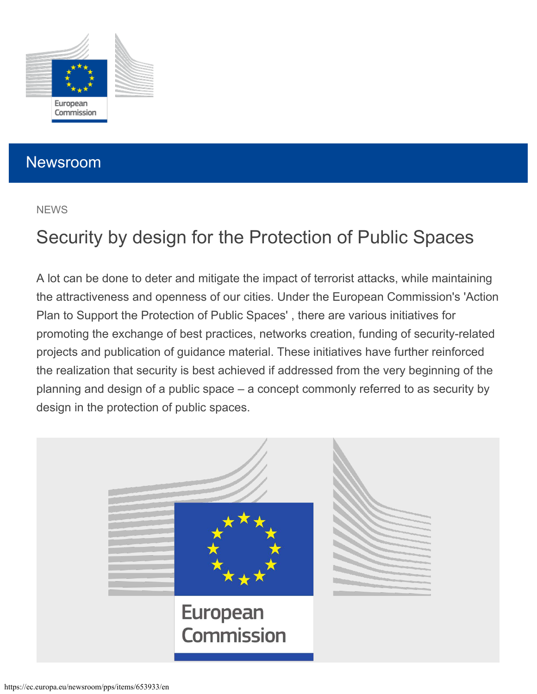<span id="page-0-0"></span>

## Newsroom

#### **NEWS**

# Security by design for the Protection of Public Spaces

A lot can be done to deter and mitigate the impact of terrorist attacks, while maintaining the attractiveness and openness of our cities. Under the European Commission's 'Action Plan to Support the Protection of Public Spaces' , there are various initiatives for promoting the exchange of best practices, networks creation, funding of security-related projects and publication of guidance material. These initiatives have further reinforced the realization that security is best achieved if addressed from the very beginning of the planning and design of a public space – a concept commonly referred to as security by design in the protection of public spaces.

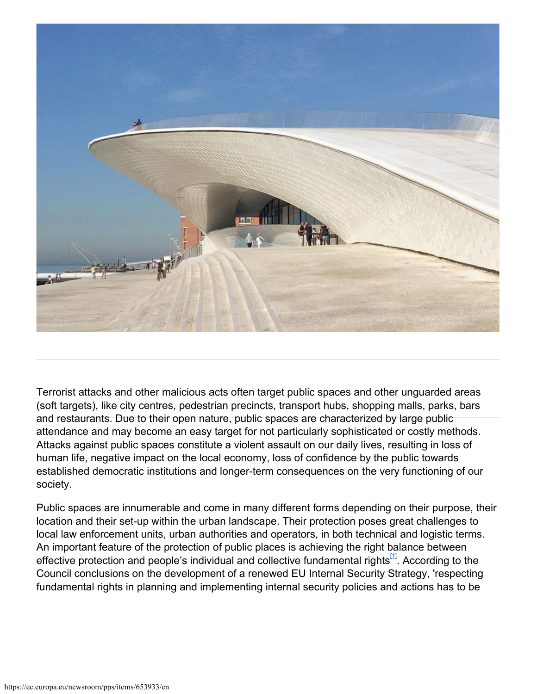

Terrorist attacks and other malicious acts often target public spaces and other unguarded areas (soft targets), like city centres, pedestrian precincts, transport hubs, shopping malls, parks, bars and restaurants. Due to their open nature, public spaces are characterized by large public attendance and may become an easy target for not particularly sophisticated or costly methods. Attacks against public spaces constitute a violent assault on our daily lives, resulting in loss of human life, negative impact on the local economy, loss of confidence by the public towards established democratic institutions and longer-term consequences on the very functioning of our society.

Public spaces are innumerable and come in many different forms depending on their purpose, their location and their set-up within the urban landscape. Their protection poses great challenges to local law enforcement units, urban authorities and operators, in both technical and logistic terms. An important feature of the protection of public places is achieving the right balance between effective protection and people's individual and collective fundamental rights $^{\text{11}}$ . According to the Council conclusions on the development of a renewed EU Internal Security Strategy, 'respecting fundamental rights in planning and implementing internal security policies and actions has to be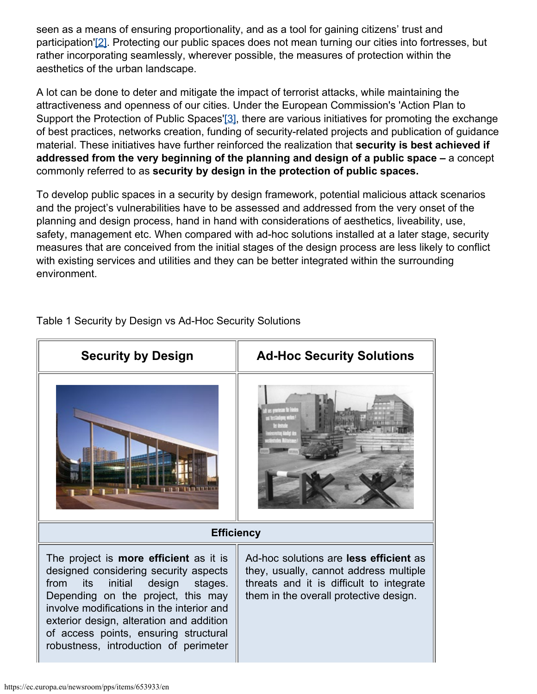seen as a means of ensuring proportionality, and as a tool for gaining citizens' trust and participation'[\[2\]](#page-0-0). Protecting our public spaces does not mean turning our cities into fortresses, but rather incorporating seamlessly, wherever possible, the measures of protection within the aesthetics of the urban landscape.

A lot can be done to deter and mitigate the impact of terrorist attacks, while maintaining the attractiveness and openness of our cities. Under the European Commission's 'Action Plan to Support the Protection of Public Spaces['\[3\]](#page-0-0), there are various initiatives for promoting the exchange of best practices, networks creation, funding of security-related projects and publication of guidance material. These initiatives have further reinforced the realization that **security is best achieved if addressed from the very beginning of the planning and design of a public space –** a concept commonly referred to as **security by design in the protection of public spaces.**

To develop public spaces in a security by design framework, potential malicious attack scenarios and the project's vulnerabilities have to be assessed and addressed from the very onset of the planning and design process, hand in hand with considerations of aesthetics, liveability, use, safety, management etc. When compared with ad-hoc solutions installed at a later stage, security measures that are conceived from the initial stages of the design process are less likely to conflict with existing services and utilities and they can be better integrated within the surrounding environment.



Table 1 Security by Design vs Ad-Hoc Security Solutions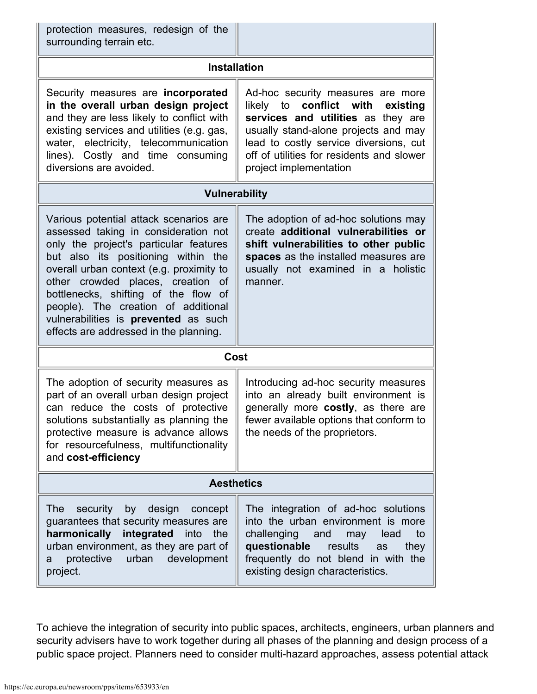| protection measures, redesign of the<br>surrounding terrain etc.                                                                                                                                                                                                                                                                                                                                                  |                                                                                                                                                                                                                                                                            |  |
|-------------------------------------------------------------------------------------------------------------------------------------------------------------------------------------------------------------------------------------------------------------------------------------------------------------------------------------------------------------------------------------------------------------------|----------------------------------------------------------------------------------------------------------------------------------------------------------------------------------------------------------------------------------------------------------------------------|--|
| <b>Installation</b>                                                                                                                                                                                                                                                                                                                                                                                               |                                                                                                                                                                                                                                                                            |  |
| Security measures are incorporated<br>in the overall urban design project<br>and they are less likely to conflict with<br>existing services and utilities (e.g. gas,<br>water, electricity, telecommunication<br>lines). Costly and time consuming<br>diversions are avoided.                                                                                                                                     | Ad-hoc security measures are more<br>likely to<br>conflict with<br>existing<br>services and utilities as they are<br>usually stand-alone projects and may<br>lead to costly service diversions, cut<br>off of utilities for residents and slower<br>project implementation |  |
| <b>Vulnerability</b>                                                                                                                                                                                                                                                                                                                                                                                              |                                                                                                                                                                                                                                                                            |  |
| Various potential attack scenarios are<br>assessed taking in consideration not<br>only the project's particular features<br>but also its positioning within the<br>overall urban context (e.g. proximity to<br>other crowded places, creation of<br>bottlenecks, shifting of the flow of<br>people). The creation of additional<br>vulnerabilities is prevented as such<br>effects are addressed in the planning. | The adoption of ad-hoc solutions may<br>create additional vulnerabilities or<br>shift vulnerabilities to other public<br>spaces as the installed measures are<br>usually not examined in a holistic<br>manner.                                                             |  |
| Cost                                                                                                                                                                                                                                                                                                                                                                                                              |                                                                                                                                                                                                                                                                            |  |
| The adoption of security measures as<br>part of an overall urban design project<br>can reduce the costs of protective<br>solutions substantially as planning the<br>protective measure is advance allows<br>for resourcefulness, multifunctionality<br>and cost-efficiency                                                                                                                                        | Introducing ad-hoc security measures<br>into an already built environment is<br>generally more costly, as there are<br>fewer available options that conform to<br>the needs of the proprietors.                                                                            |  |
| <b>Aesthetics</b>                                                                                                                                                                                                                                                                                                                                                                                                 |                                                                                                                                                                                                                                                                            |  |
| design concept<br><b>The</b><br>security<br>by<br>guarantees that security measures are<br>harmonically integrated into the<br>urban environment, as they are part of<br>protective<br>urban<br>development<br>a<br>project.                                                                                                                                                                                      | The integration of ad-hoc solutions<br>into the urban environment is more<br>challenging and may<br>to<br>lead<br>questionable<br>results<br>they<br>as<br>frequently do not blend in with the<br>existing design characteristics.                                         |  |

To achieve the integration of security into public spaces, architects, engineers, urban planners and security advisers have to work together during all phases of the planning and design process of a public space project. Planners need to consider multi-hazard approaches, assess potential attack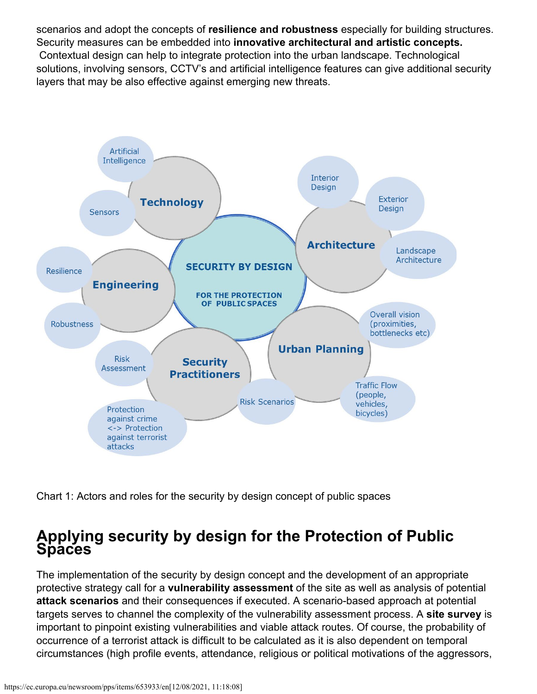scenarios and adopt the concepts of **resilience and robustness** especially for building structures. Security measures can be embedded into **innovative architectural and artistic concepts.** Contextual design can help to integrate protection into the urban landscape. Technological solutions, involving sensors, CCTV's and artificial intelligence features can give additional security layers that may be also effective against emerging new threats.



Chart 1: Actors and roles for the security by design concept of public spaces

## **Applying security by design for the Protection of Public Spaces**

The implementation of the security by design concept and the development of an appropriate protective strategy call for a **vulnerability assessment** of the site as well as analysis of potential **attack scenarios** and their consequences if executed. A scenario-based approach at potential targets serves to channel the complexity of the vulnerability assessment process. A **site survey** is important to pinpoint existing vulnerabilities and viable attack routes. Of course, the probability of occurrence of a terrorist attack is difficult to be calculated as it is also dependent on temporal circumstances (high profile events, attendance, religious or political motivations of the aggressors,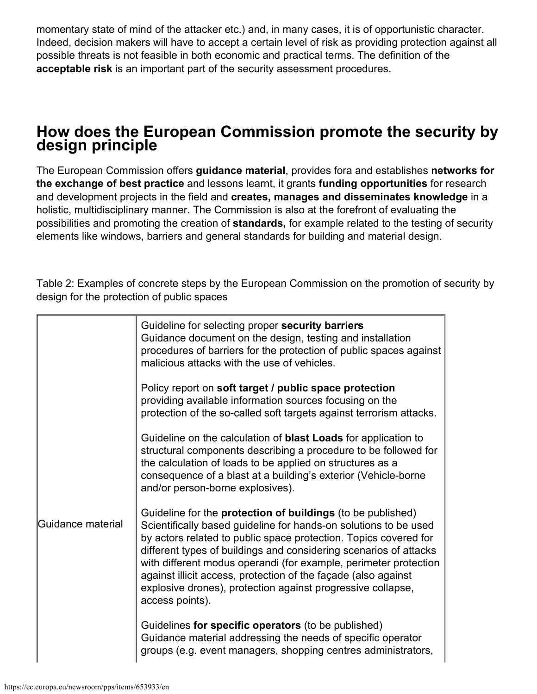momentary state of mind of the attacker etc.) and, in many cases, it is of opportunistic character. Indeed, decision makers will have to accept a certain level of risk as providing protection against all possible threats is not feasible in both economic and practical terms. The definition of the **acceptable risk** is an important part of the security assessment procedures.

### **How does the European Commission promote the security by design principle**

The European Commission offers **guidance material**, provides fora and establishes **networks for the exchange of best practice** and lessons learnt, it grants **funding opportunities** for research and development projects in the field and **creates, manages and disseminates knowledge** in a holistic, multidisciplinary manner. The Commission is also at the forefront of evaluating the possibilities and promoting the creation of **standards,** for example related to the testing of security elements like windows, barriers and general standards for building and material design.

Table 2: Examples of concrete steps by the European Commission on the promotion of security by design for the protection of public spaces

|                   | Guideline for selecting proper security barriers<br>Guidance document on the design, testing and installation<br>procedures of barriers for the protection of public spaces against<br>malicious attacks with the use of vehicles.                                                                                                                                                                                                                                                                      |
|-------------------|---------------------------------------------------------------------------------------------------------------------------------------------------------------------------------------------------------------------------------------------------------------------------------------------------------------------------------------------------------------------------------------------------------------------------------------------------------------------------------------------------------|
|                   | Policy report on soft target / public space protection<br>providing available information sources focusing on the<br>protection of the so-called soft targets against terrorism attacks.                                                                                                                                                                                                                                                                                                                |
|                   | Guideline on the calculation of <b>blast Loads</b> for application to<br>structural components describing a procedure to be followed for<br>the calculation of loads to be applied on structures as a<br>consequence of a blast at a building's exterior (Vehicle-borne<br>and/or person-borne explosives).                                                                                                                                                                                             |
| Guidance material | Guideline for the <b>protection of buildings</b> (to be published)<br>Scientifically based guideline for hands-on solutions to be used<br>by actors related to public space protection. Topics covered for<br>different types of buildings and considering scenarios of attacks<br>with different modus operandi (for example, perimeter protection<br>against illicit access, protection of the façade (also against<br>explosive drones), protection against progressive collapse,<br>access points). |
|                   | Guidelines for specific operators (to be published)<br>Guidance material addressing the needs of specific operator<br>groups (e.g. event managers, shopping centres administrators,                                                                                                                                                                                                                                                                                                                     |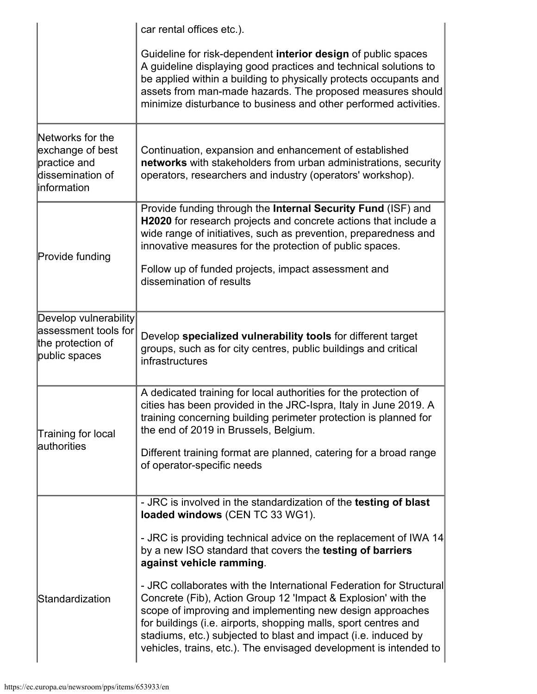|                                                                                          | car rental offices etc.).                                                                                                                                                                                                                                                                                                                                                                                   |
|------------------------------------------------------------------------------------------|-------------------------------------------------------------------------------------------------------------------------------------------------------------------------------------------------------------------------------------------------------------------------------------------------------------------------------------------------------------------------------------------------------------|
|                                                                                          | Guideline for risk-dependent interior design of public spaces<br>A guideline displaying good practices and technical solutions to<br>be applied within a building to physically protects occupants and<br>assets from man-made hazards. The proposed measures should<br>minimize disturbance to business and other performed activities.                                                                    |
| Networks for the<br>exchange of best<br>practice and<br>dissemination of<br>linformation | Continuation, expansion and enhancement of established<br>networks with stakeholders from urban administrations, security<br>operators, researchers and industry (operators' workshop).                                                                                                                                                                                                                     |
| Provide funding                                                                          | Provide funding through the Internal Security Fund (ISF) and<br>H2020 for research projects and concrete actions that include a<br>wide range of initiatives, such as prevention, preparedness and<br>innovative measures for the protection of public spaces.                                                                                                                                              |
|                                                                                          | Follow up of funded projects, impact assessment and<br>dissemination of results                                                                                                                                                                                                                                                                                                                             |
| Develop vulnerability<br>assessment tools for<br>the protection of<br>public spaces      | Develop specialized vulnerability tools for different target<br>groups, such as for city centres, public buildings and critical<br>infrastructures                                                                                                                                                                                                                                                          |
| Training for local                                                                       | A dedicated training for local authorities for the protection of<br>cities has been provided in the JRC-Ispra, Italy in June 2019. A<br>training concerning building perimeter protection is planned for<br>the end of 2019 in Brussels, Belgium.                                                                                                                                                           |
| lauthorities                                                                             | Different training format are planned, catering for a broad range<br>of operator-specific needs                                                                                                                                                                                                                                                                                                             |
|                                                                                          | - JRC is involved in the standardization of the testing of blast<br>loaded windows (CEN TC 33 WG1).                                                                                                                                                                                                                                                                                                         |
|                                                                                          | - JRC is providing technical advice on the replacement of IWA 14<br>by a new ISO standard that covers the testing of barriers<br>against vehicle ramming.                                                                                                                                                                                                                                                   |
| Standardization                                                                          | - JRC collaborates with the International Federation for Structural<br>Concrete (Fib), Action Group 12 'Impact & Explosion' with the<br>scope of improving and implementing new design approaches<br>for buildings (i.e. airports, shopping malls, sport centres and<br>stadiums, etc.) subjected to blast and impact (i.e. induced by<br>vehicles, trains, etc.). The envisaged development is intended to |